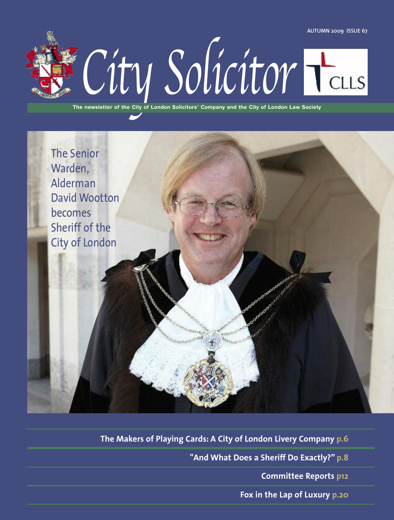**AUTUMN 2009 ISSUE 67**



**The newsletter of the City of London Solicitors' Company and the City of London Law Society**



**The Makers of Playing Cards: A City of London Livery Company p.6**

**"And What Does a Sheriff Do Exactly?" p.8**

**Committee Reports p12**

**Fox in the Lap of Luxury p.20**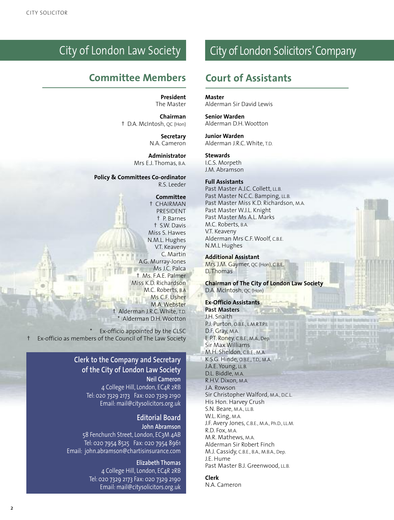### City of London Law Society

### **Committee Members Court of Assistants**

**President** The Master

**Chairman** † D.A. McIntosh, QC (Hon)

> **Secretary** N.A. Cameron

**Administrator** Mrs E.J. Thomas, B.A.

**Policy & Committees Co-ordinator** R.S. Leeder

#### **Committee**

† CHAIRMAN PRESIDENT † P. Barnes † S.W. Davis Miss S. Hawes N.M.L. Hughes V.T. Keaveny C. Martin A.G. Murray-Jones Ms J.C. Palca † Ms. F.A.E. Palmer Miss K.D. Richardson M.C. Roberts, B.A Ms C.F. Usher M.A.Webster † Alderman J.R.C.White, T.D. \* Alderman D.H.Wootton

Ex-officio appointed by the CLSC Ex-officio as members of the Council of The Law Society

#### **Clerk to the Company and Secretary of the City of London Law Society**

**Neil Cameron** 4 College Hill, London, EC4R 2RB Tel: 020 7329 2173 Fax: 020 7329 2190 Email: mail@citysolicitors.org.uk

> **Editorial Board John Abramson**

58 Fenchurch Street, London, EC3M 4AB Tel: 020 7954 8525 Fax: 020 7954 8961 Email: john.abramson@chartisinsurance.com

> **Elizabeth Thomas** 4 College Hill, London, EC4R 2RB Tel: 020 7329 2173 Fax: 020 7329 2190 Email: mail@citysolicitors.org.uk

### City of London Solicitors'Company

**Master**

Alderman Sir David Lewis

**Senior Warden** Alderman D.H.Wootton

**Junior Warden** Alderman J.R.C.White, T.D.

#### **Stewards**

I.C.S. Morpeth J.M. Abramson

#### **Full Assistants**

Past Master A.J.C. Collett, LL.B. Past Master N.C.C. Bamping, LL.B. Past Master Miss K.D. Richardson, M.A. Past Master W.J.L. Knight Past Master Ms A.L. Marks M.C. Roberts, B.A. V.T. Keaveny Alderman Mrs C.F.Woolf, C.B.E. N.M.L Hughes

#### **Additional Assistant**

Mrs J.M. Gaymer, QC (Hon), C.B.E. D. Thomas

**Chairman of The City of London Law Society** D.A. McIntosh, QC (Hon)

> **Purificial Light Audit Aught The** THE RATIOT SHE AND THE R **Deltart Livies West Yours Him**

#### **Ex-Officio Assistants Past Masters** J.H. Snaith P.J. Purton, O.B.E., L.M.R.T.P.I. D.F. Gray, M.A. E.P.T. Roney, C.B.E., M.A., Dep. Sir Max Williams M.H. Sheldon, C.B.E., M.A. K.S.G. Hinde, O.B.E., T.D., M.A. J.A.E. Young, LL.B. D.L. Biddle, M.A. R.H.V. Dixon, M.A. J.A. Rowson Sir Christopher Walford, M.A., D.C.L. His Hon. Harvey Crush S.N. Beare, M.A., LL.B. W.L. King, M.A. J.F. Avery Jones, C.B.E., M.A., Ph.D., LL.M. R.D. Fox, M.A. M.R. Mathews, M.A. Alderman Sir Robert Finch M.J. Cassidy, C.B.E., B.A., M.B.A., Dep. J.E. Hume Past Master B.J. Greenwood, LL.B.

#### **Clerk**

N.A. Cameron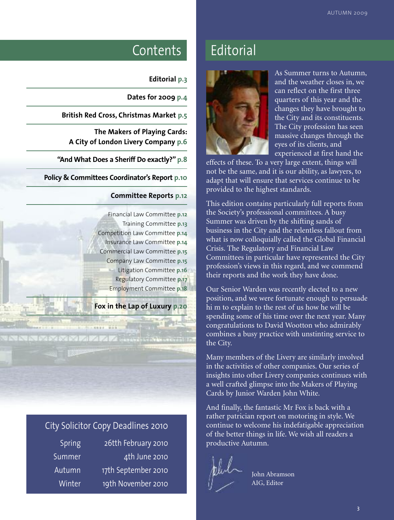### Contents Editorial

#### **Editorial p.3**

**Dates for 2009 p.4**

**British Red Cross, Christmas Market p.5**

**The Makers of Playing Cards: A City of London Livery Company p.6**

**"And What Does a Sheriff Do exactly?" p.8**

**Policy & Committees Coordinator's Report p.10**

#### **Committee Reports p.12**

Financial Law Committee **p.12** Training Committee **p.13** Competition Law Committee **p.14** Insurance Law Committee **p.14** Commercial Law Committee **p.15** Company Law Committee **p.15** Litigation Committee **p.16** Regulatory Committee **p.17** Employment Committee **p.18**

**Fox in the Lap of Luxury p.20**

#### City Solicitor Copy Deadlines 2010

Then a wide

**NNNNNNNNN** 

Spring 26tth February 2010 Summer 4th June 2010 Autumn 17th September 2010 Winter 19th November 2010



As Summer turns to Autumn, and the weather closes in, we can reflect on the first three quarters of this year and the changes they have brought to the City and its constituents. The City profession has seen massive changes through the eyes of its clients, and experienced at first hand the

effects of these. To a very large extent, things will not be the same, and it is our ability, as lawyers, to adapt that will ensure that services continue to be provided to the highest standards.

This edition contains particularly full reports from the Society's professional committees. A busy Summer was driven by the shifting sands of business in the City and the relentless fallout from what is now colloquially called the Global Financial Crisis. The Regulatory and Financial Law Committees in particular have represented the City profession's views in this regard, and we commend their reports and the work they have done.

Our Senior Warden was recently elected to a new position, and we were fortunate enough to persuade hi m to explain to the rest of us how he will be spending some of his time over the next year. Many congratulations to David Wootton who admirably combines a busy practice with unstinting service to the City.

Many members of the Livery are similarly involved in the activities of other companies. Our series of insights into other Livery companies continues with a well crafted glimpse into the Makers of Playing Cards by Junior Warden John White.

And finally, the fantastic Mr Fox is back with a rather patrician report on motoring in style. We continue to welcome his indefatigable appreciation of the better things in life. We wish all readers a productive Autumn.



John Abramson AIG, Editor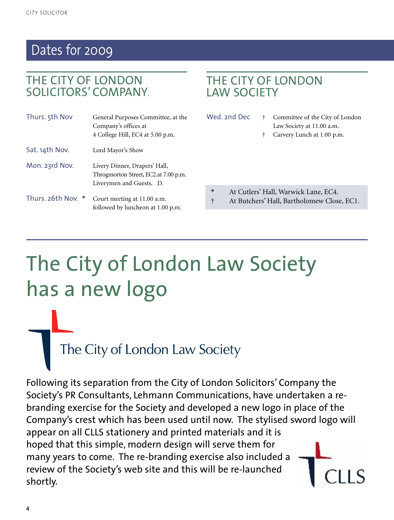### Dates for 2009

### THE CITY OF LONDON SOLICITORS' COMPANY.

| Thurs. 5th Nov     | General Purposes Committee, at the<br>Company's offices at<br>4 College Hill, EC4 at 5.00 p.m.    |
|--------------------|---------------------------------------------------------------------------------------------------|
| Sat. 14th Nov.     | Lord Mayor's Show                                                                                 |
| Mon. 23rd Nov.     | Livery Dinner, Drapers' Hall,<br>Throgmorton Street, EC2.at 7.00 p.m.<br>Liverymen and Guests. D. |
| Thurs. 26th Nov. * | Court meeting at 11.00 a.m.<br>followed by luncheon at 1.00 p.m.                                  |

### THE CITY OF LONDON LAW SOCIETY

- Wed. 2nd Dec  $\dagger$  Committee of the City of London Law Society at 11.00 a.m.
	- † Carvery Lunch at 1.00 p.m.
- At Cutlers' Hall, Warwick Lane, EC4.
- † At Butchers' Hall, Bartholomew Close, EC1.

# The City of London Law Society has a new logo

The City of London Law Society

Following its separation from the City of London Solicitors' Company the Society's PR Consultants, Lehmann Communications, have undertaken a rebranding exercise for the Society and developed a new logo in place of the Company's crest which has been used until now. The stylised sword logo will appear on all CLLS stationery and printed materials and it is hoped that this simple, modern design will serve them for many years to come. The re-branding exercise also included a review of the Society's web site and this will be re-launched shortly.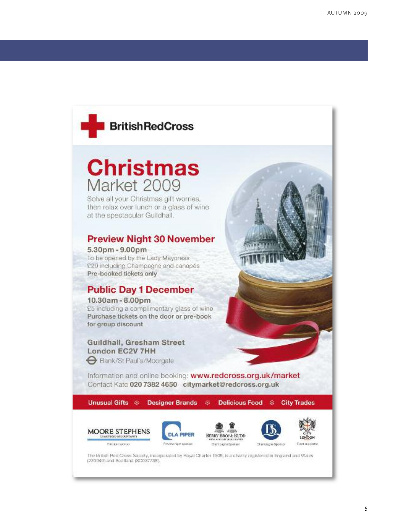

## **Christmas** Market 2009

Solve all your Christmas gift worries. then relax over lunch or a class of wine at the spectacular Guildhall.

#### **Preview Night 30 November**

5.30pm - 9.00pm To be opened by the Lady Mayoress £20 including Champagne and canapés Pre-booked tickets only

### **Public Day 1 December**

10.30am - 8.00pm £5 including a complimentary glass of wine Purchase tickets on the door or pre-book for group discount

### Guildhall, Gresham Street London EC2V 7HH

Bank/St Paul's/Moorgate

Information and online booking: www.redcross.org.uk/market Contact Kate 020 7382 4650 citymarket@redcross.org.uk

**Unusual Gifts & Designer Brands** 

6k **Delicious Food** æ.

**City Trades** 









The British Red Creas Society, Incorporated by Royal Charter 1908, is a charity registered in England and Wales (220349) and Scotland (SC097738).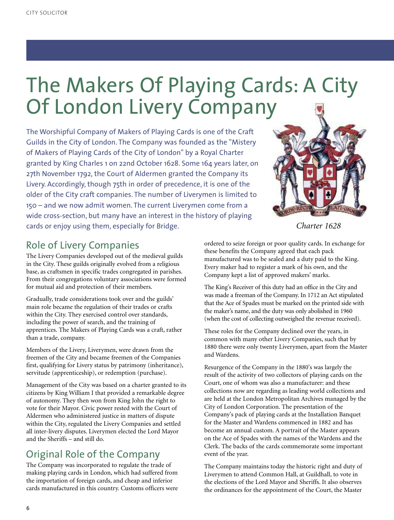## The Makers Of Playing Cards: A City Of London Livery Company

The Worshipful Company of Makers of Playing Cards is one of the Craft Guilds in the City of London. The Company was founded as the "Mistery of Makers of Playing Cards of the City of London" by a Royal Charter granted by King Charles 1 on 22nd October 1628. Some 164 years later, on 27th November 1792, the Court of Aldermen granted the Company its Livery. Accordingly, though 75th in order of precedence, it is one of the older of the City craft companies. The number of Liverymen is limited to 150 – and we now admit women. The current Liverymen come from a wide cross-section, but many have an interest in the history of playing cards or enjoy using them, especially for Bridge.



*Charter 1628*

### Role of Livery Companies

The Livery Companies developed out of the medieval guilds in the City. These guilds originally evolved from a religious base, as craftsmen in specific trades congregated in parishes. From their congregations voluntary associations were formed for mutual aid and protection of their members.

Gradually, trade considerations took over and the guilds' main role became the regulation of their trades or crafts within the City. They exercised control over standards, including the power of search, and the training of apprentices. The Makers of Playing Cards was a craft, rather than a trade, company.

Members of the Livery, Liverymen, were drawn from the freemen of the City and became freemen of the Companies first, qualifying for Livery status by patrimony (inheritance), servitude (apprenticeship), or redemption (purchase).

Management of the City was based on a charter granted to its citizens by King William I that provided a remarkable degree of autonomy. They then won from King John the right to vote for their Mayor. Civic power rested with the Court of Aldermen who administered justice in matters of dispute within the City, regulated the Livery Companies and settled all inter-livery disputes. Liverymen elected the Lord Mayor and the Sheriffs – and still do.

### Original Role of the Company

The Company was incorporated to regulate the trade of making playing cards in London, which had suffered from the importation of foreign cards, and cheap and inferior cards manufactured in this country. Customs officers were

ordered to seize foreign or poor quality cards. In exchange for these benefits the Company agreed that each pack manufactured was to be sealed and a duty paid to the King. Every maker had to register a mark of his own, and the Company kept a list of approved makers' marks.

The King's Receiver of this duty had an office in the City and was made a freeman of the Company. In 1712 an Act stipulated that the Ace of Spades must be marked on the printed side with the maker's name, and the duty was only abolished in 1960 (when the cost of collecting outweighed the revenue received).

These roles for the Company declined over the years, in common with many other Livery Companies, such that by 1880 there were only twenty Liverymen, apart from the Master and Wardens.

Resurgence of the Company in the 1880's was largely the result of the activity of two collectors of playing cards on the Court, one of whom was also a manufacturer: and these collections now are regarding as leading world collections and are held at the London Metropolitan Archives managed by the City of London Corporation. The presentation of the Company's pack of playing cards at the Installation Banquet for the Master and Wardens commenced in 1882 and has become an annual custom. A portrait of the Master appears on the Ace of Spades with the names of the Wardens and the Clerk. The backs of the cards commemorate some important event of the year.

The Company maintains today the historic right and duty of Liverymen to attend Common Hall, at Guildhall, to vote in the elections of the Lord Mayor and Sheriffs. It also observes the ordinances for the appointment of the Court, the Master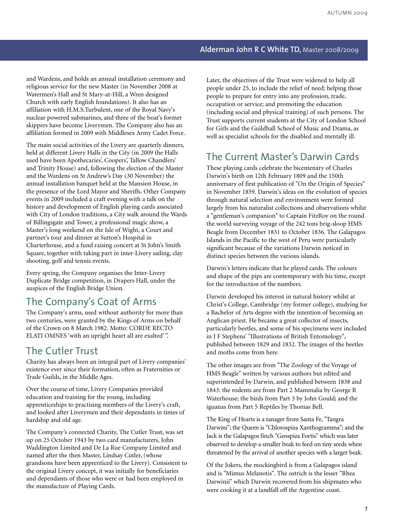#### **Alderman John R C White TD,** Master 2008/2009

and Wardens, and holds an annual installation ceremony and religious service for the new Master (in November 2008 at Watermen's Hall and St Mary-at-Hill, a Wren designed Church with early English foundations). It also has an affiliation with H.M.S.Turbulent, one of the Royal Navy's nuclear powered submarines, and three of the boat's former skippers have become Liverymen. The Company also has an affiliation formed in 2009 with Middlesex Army Cadet Force.

The main social activities of the Livery are quarterly dinners, held at different Livery Halls in the City (in 2009 the Halls used have been Apothecaries', Coopers', Tallow Chandlers' and Trinity House) and, following the election of the Master and the Wardens on St Andrew's Day (30 November) the annual installation banquet held at the Mansion House, in the presence of the Lord Mayor and Sheriffs. Other Company events in 2009 included a craft evening with a talk on the history and development of English playing cards associated with City of London traditions, a City walk around the Wards of Billingsgate and Tower, a professional magic show, a Master's long weekend on the Isle of Wight, a Court and partner's tour and dinner at Sutton's Hospital in Charterhouse, and a fund raising concert at St John's Smith Square, together with taking part in inter-Livery sailing, clay shooting, golf and tennis events.

Every spring, the Company organises the Inter-Livery Duplicate Bridge competition, in Drapers Hall, under the auspices of the English Bridge Union.

### The Company's Coat of Arms

The Company's arms, used without authority for more than two centuries, were granted by the Kings of Arms on behalf of the Crown on 8 March 1982. Motto: CORDE RECTO ELATI OMNES 'with an upright heart all are exalted' ".

### The Cutler Trust

Charity has always been an integral part of Livery companies' existence ever since their formation, often as Fraternities or Trade Guilds, in the Middle Ages.

Over the course of time, Livery Companies provided education and training for the young, including apprenticeships to practising members of the Livery's craft, and looked after Liverymen and their dependants in times of hardship and old age.

The Company's connected Charity, The Cutler Trust, was set up on 25 October 1943 by two card manufacturers, John Waddington Limited and De La Rue Company Limited and named after the then Master, Lindsay Cutler, (whose grandsons have been apprenticed to the Livery). Consistent to the original Livery concept, it was initially for beneficiaries and dependants of those who were or had been employed in the manufacture of Playing Cards.

Later, the objectives of the Trust were widened to help all people under 25, to include the relief of need; helping those people to prepare for entry into any profession, trade, occupation or service; and promoting the education (including social and physical training) of such persons. The Trust supports current students at the City of London School for Girls and the Guildhall School of Music and Drama, as well as specialist schools for the disabled and mentally ill.

### The Current Master's Darwin Cards

These playing cards celebrate the bicentenary of Charles Darwin's birth on 12th February 1809 and the 150th anniversary of first publication of "On the Origin of Species" in November 1859. Darwin's ideas on the evolution of species through natural selection and environment were formed largely from his naturalist collections and observations whilst a "gentleman's companion" to Captain FitzRoy on the round the world surveying voyage of the 242 tons brig-sloop HMS Beagle from December 1831 to October 1836. The Galapagos Islands in the Pacific to the west of Peru were particularly significant because of the variations Darwin noticed in distinct species between the various islands.

Darwin's letters indicate that he played cards. The colours and shape of the pips are contemporary with his time, except for the introduction of the numbers.

Darwin developed his interest in natural history whilst at Christ's College, Cambridge (my former college), studying for a Bachelor of Arts degree with the intention of becoming an Anglican priest. He became a great collector of insects, particularly beetles, and some of his specimens were included in J F Stephens' "Illustrations of British Entomology", published between 1829 and 1832. The images of the beetles and moths come from here.

The other images are from "The Zoology of the Voyage of HMS Beagle" written by various authors but edited and superintended by Darwin, and published between 1838 and 1843: the rodents are from Part 2 Mammalia by George R Waterhouse; the birds from Part 3 by John Gould; and the iguanas from Part 5 Reptiles by Thomas Bell.

The King of Hearts is a tanager from Santa Fe, "Tangra Darwini"; the Queen is "Chlorospiza Xanthogramma"; and the Jack is the Galapagos finch "Geospiza Fortis" which was later observed to develop a smaller beak to feed on tiny seeds when threatened by the arrival of another species with a larger beak.

Of the Jokers, the mockingbird is from a Galapagos island and is "Mimus Melanotis". The ostrich is the lesser "Rhea Darwinii" which Darwin recovered from his shipmates who were cooking it at a landfall off the Argentine coast.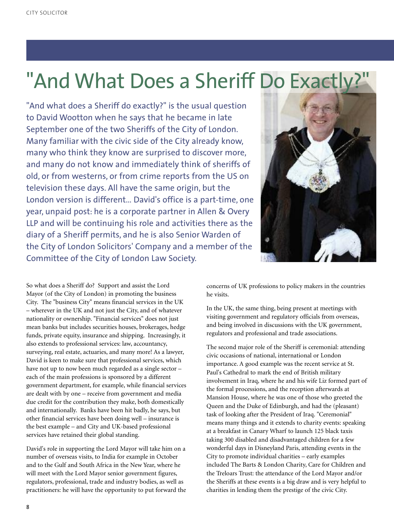## "And What Does a Sheriff Do Exactly?"

"And what does a Sheriff do exactly?" is the usual question to David Wootton when he says that he became in late September one of the two Sheriffs of the City of London. Many familiar with the civic side of the City already know, many who think they know are surprised to discover more, and many do not know and immediately think of sheriffs of old, or from westerns, or from crime reports from the US on television these days. All have the same origin, but the London version is different… David's office is a part-time, one year, unpaid post: he is a corporate partner in Allen & Overy LLP and will be continuing his role and activities there as the diary of a Sheriff permits, and he is also Senior Warden of the City of London Solicitors' Company and a member of the Committee of the City of London Law Society.



So what does a Sheriff do? Support and assist the Lord Mayor (of the City of London) in promoting the business City. The "business City" means financial services in the UK – wherever in the UK and not just the City, and of whatever nationality or ownership. "Financial services" does not just mean banks but includes securities houses, brokerages, hedge funds, private equity, insurance and shipping. Increasingly, it also extends to professional services: law, accountancy, surveying, real estate, actuaries, and many more! As a lawyer, David is keen to make sure that professional services, which have not up to now been much regarded as a single sector – each of the main professions is sponsored by a different government department, for example, while financial services are dealt with by one – receive from government and media due credit for the contribution they make, both domestically and internationally. Banks have been hit badly, he says, but other financial services have been doing well – insurance is the best example – and City and UK-based professional services have retained their global standing.

David's role in supporting the Lord Mayor will take him on a number of overseas visits, to India for example in October and to the Gulf and South Africa in the New Year, where he will meet with the Lord Mayor senior government figures, regulators, professional, trade and industry bodies, as well as practitioners: he will have the opportunity to put forward the concerns of UK professions to policy makers in the countries he visits.

In the UK, the same thing, being present at meetings with visiting government and regulatory officials from overseas, and being involved in discussions with the UK government, regulators and professional and trade associations.

The second major role of the Sheriff is ceremonial: attending civic occasions of national, international or London importance. A good example was the recent service at St. Paul's Cathedral to mark the end of British military involvement in Iraq, where he and his wife Liz formed part of the formal processions, and the reception afterwards at Mansion House, where he was one of those who greeted the Queen and the Duke of Edinburgh, and had the (pleasant) task of looking after the President of Iraq. "Ceremonial" means many things and it extends to charity events: speaking at a breakfast in Canary Wharf to launch 125 black taxis taking 300 disabled and disadvantaged children for a few wonderful days in Disneyland Paris, attending events in the City to promote individual charities – early examples included The Barts & London Charity, Care for Children and the Treloars Trust: the attendance of the Lord Mayor and/or the Sheriffs at these events is a big draw and is very helpful to charities in lending them the prestige of the civic City.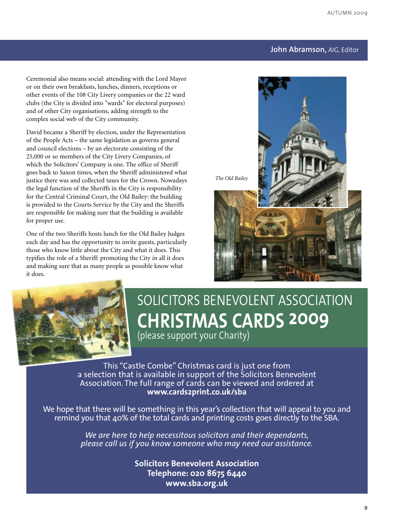#### **John Abramson,** *AIG,* Editor

Ceremonial also means social: attending with the Lord Mayor or on their own breakfasts, lunches, dinners, receptions or other events of the 108 City Livery companies or the 22 ward clubs (the City is divided into "wards" for electoral purposes) and of other City organisations, adding strength to the complex social web of the City community.

David became a Sheriff by election, under the Representation of the People Acts – the same legislation as governs general and council elections – by an electorate consisting of the 25,000 or so members of the City Livery Companies, of which the Solicitors' Company is one. The office of Sheriff goes back to Saxon times, when the Sheriff administered what justice there was and collected taxes for the Crown. Nowadays the legal function of the Sheriffs in the City is responsibility for the Central Criminal Court, the Old Bailey: the building is provided to the Courts Service by the City and the Sheriffs are responsible for making sure that the building is available for proper use.

One of the two Sheriffs hosts lunch for the Old Bailey Judges each day and has the opportunity to invite guests, particularly those who know little about the City and what it does. This typifies the role of a Sheriff: promoting the City in all it does and making sure that as many people as possible know what it does.



## SOLICITORS BENEVOLENT ASSOCIATION **CHRISTMAS CARDS 2009** (please support your Charity)

This "Castle Combe" Christmas card is just one from a selection that is available in support of the Solicitors Benevolent Association. The full range of cards can be viewed and ordered at **www.cards2print.co.uk/sba**

We hope that there will be something in this year's collection that will appeal to you and remind you that 40% of the total cards and printing costs goes directly to the SBA.

> *We are here to help necessitous solicitors and their dependants, please call us if you know someone who may need our assistance.*

> > **Solicitors Benevolent Association Telephone: 020 8675 6440 www.sba.org.uk**

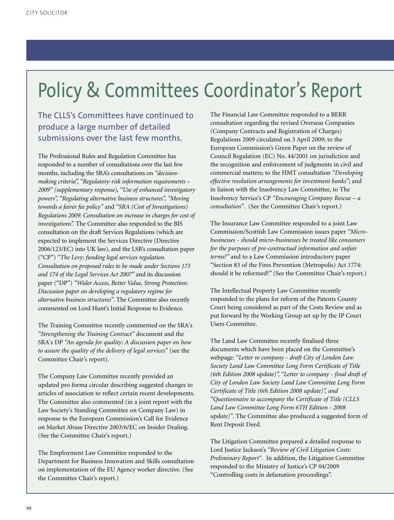## Policy & Committees Coordinator's Report

The CLLS's Committees have continued to produce a large number of detailed submissions over the last few months.

The Professional Rules and Regulation Committee has responded to a number of consultations over the last few months, including the SRA's consultations on *"decisionmaking criteria", "Regulatory-risk information requirements – 2009" (supplementary response), "Use of enhanced investigatory powers", "Regulating alternative business structures", "Moving towards a fairer fee policy"* and *"SRA (Cost of Investigations) Regulations 2009: Consultation on increase in charges for cost of investigations".* The Committee also responded to the BIS consultation on the draft Services Regulations (which are expected to implement the Services Directive (Directive 2006/123/EC) into UK law), and the LSB's consultation paper ("CP") *"The Levy: funding legal services regulation. Consultation on proposed rules to be made under Sections 173 and 174 of the Legal Services Act 2007"* and its discussion paper ("DP") *"Wider Access, Better Value, Strong Protection: Discussion paper on developing a regulatory regime for alternative business structures"*. The Committee also recently commented on Lord Hunt's Initial Response to Evidence.

The Training Committee recently commented on the SRA's *"Strengthening the Training Contract"* document and the SRA's DP *"An agenda for quality: A discussion paper on how to assure the quality of the delivery of legal services"* (see the Committee Chair's report).

The Company Law Committee recently provided an updated pro forma circular describing suggested changes to articles of association to reflect certain recent developments. The Committee also commented (in a joint report with the Law Society's Standing Committee on Company Law) in response to the European Commission's Call for Evidence on Market Abuse Directive 2003/6/EC on Insider Dealing. (See the Committee Chair's report.)

The Employment Law Committee responded to the Department for Business Innovation and Skills consultation on implementation of the EU Agency worker directive. (See the Committee Chair's report.)

The Financial Law Committee responded to a BERR consultation regarding the revised Overseas Companies (Company Contracts and Registration of Charges) Regulations 2009 circulated on 3 April 2009; to the European Commission's Green Paper on the review of Council Regulation (EC) No. 44/2001 on jurisdiction and the recognition and enforcement of judgments in civil and commercial matters; to the HMT consultation *"Developing effective resolution arrangements for investment banks"*; and in liaison with the Insolvency Law Committee, to The Insolvency Service's CP *"Encouraging Company Rescue – a consultation"*. (See the Committee Chair's report.)

The Insurance Law Committee responded to a joint Law Commission/Scottish Law Commission issues paper *"Microbusinesses - should micro-businesses be treated like consumers for the purposes of pre-contractual information and unfair terms?"* and to a Law Commission introductory paper "Section 83 of the Fires Prevention (Metropolis) Act 1774: should it be reformed?" (See the Committee Chair's report.)

The Intellectual Property Law Committee recently responded to the plans for reform of the Patents County Court being considered as part of the Costs Review and as put forward by the Working Group set up by the IP Court Users Committee.

The Land Law Committee recently finalised three documents which have been placed on the Committee's webpage: *"Letter to company - draft City of London Law Society Land Law Committee Long Form Certificate of Title (6th Edition 2008 update)", "Letter to company - final draft of City of London Law Society Land Law Committee Long Form Certificate of Title (6th Edition 2008 update)", and "Questionnaire to accompany the Certificate of Title (CLLS Land Law Committee Long Form 6TH Edition - 2008 update)"*. The Committee also produced a suggested form of Rent Deposit Deed.

The Litigation Committee prepared a detailed response to Lord Justice Jackson's *"Review of Civil Litigation Costs: Preliminary Report"*. In addition, the Litigation Committee responded to the Ministry of Justice's CP 04/2009 "Controlling costs in defamation proceedings".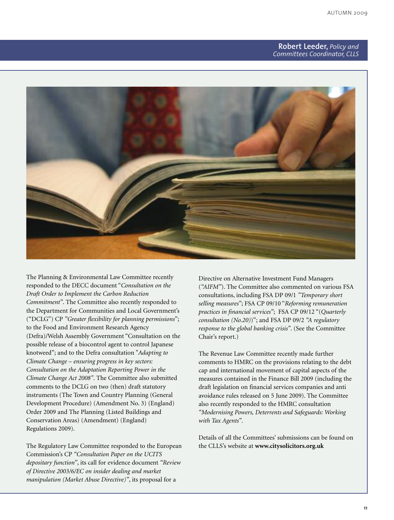#### **Robert Leeder,** *Policy and Committees Coordinator, CLLS*



The Planning & Environmental Law Committee recently responded to the DECC document "*Consultation on the Draft Order to Implement the Carbon Reduction Commitment"*. The Committee also recently responded to the Department for Communities and Local Government's ("DCLG") CP *"Greater flexibility for planning permissions*"; to the Food and Environment Research Agency (Defra)/Welsh Assembly Government "Consultation on the possible release of a biocontrol agent to control Japanese knotweed"; and to the Defra consultation "*Adapting to Climate Change – ensuring progress in key sectors: Consultation on the Adaptation Reporting Power in the Climate Change Act 2008"*. The Committee also submitted comments to the DCLG on two (then) draft statutory instruments (The Town and Country Planning (General Development Procedure) (Amendment No. 3) (England) Order 2009 and The Planning (Listed Buildings and Conservation Areas) (Amendment) (England) Regulations 2009).

The Regulatory Law Committee responded to the European Commission's CP *"Consultation Paper on the UCITS depositary function"*, its call for evidence document *"Review of Directive 2003/6/EC on insider dealing and market manipulation (Market Abuse Directive)"*, its proposal for a

Directive on Alternative Investment Fund Managers (*"AIFM"*). The Committee also commented on various FSA consultations, including FSA DP 09/1 *"Temporary short selling measures"*; FSA CP 09/10 "*Reforming remuneration practices in financial services"*; FSA CP 09/12 "(*Quarterly consultation (No.20)*)"; and FSA DP 09/2 *"A regulatory response to the global banking crisis"*. (See the Committee Chair's report.)

The Revenue Law Committee recently made further comments to HMRC on the provisions relating to the debt cap and international movement of capital aspects of the measures contained in the Finance Bill 2009 (including the draft legislation on financial services companies and anti avoidance rules released on 5 June 2009). The Committee also recently responded to the HMRC consultation *"Modernising Powers, Deterrents and Safeguards: Working with Tax Agents"*.

Details of all the Committees' submissions can be found on the CLLS's website at **www.citysolicitors.org.uk**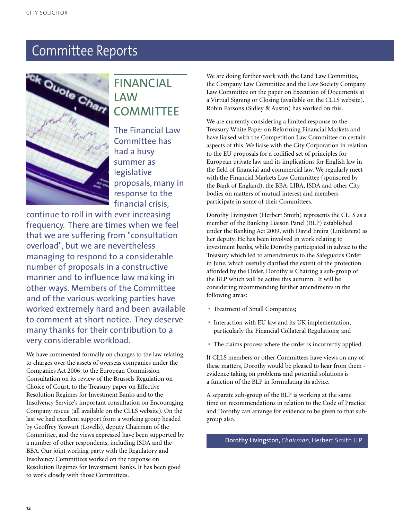

### FINANCIAL LAW **COMMITTEE**

The Financial Law Committee has had a busy summer as legislative proposals, many in response to the financial crisis,

continue to roll in with ever increasing frequency. There are times when we feel that we are suffering from "consultation overload", but we are nevertheless managing to respond to a considerable number of proposals in a constructive manner and to influence law making in other ways. Members of the Committee and of the various working parties have worked extremely hard and been available to comment at short notice. They deserve many thanks for their contribution to a very considerable workload.

We have commented formally on changes to the law relating to charges over the assets of overseas companies under the Companies Act 2006, to the European Commission Consultation on its review of the Brussels Regulation on Choice of Court, to the Treasury paper on Effective Resolution Regimes for Investment Banks and to the Insolvency Service's important consultation on Encouraging Company rescue (all available on the CLLS website). On the last we had excellent support from a working group headed by Geoffrey Yeowart (Lovells), deputy Chairman of the Committee, and the views expressed have been supported by a number of other respondents, including ISDA and the BBA. Our joint working party with the Regulatory and Insolvency Committees worked on the response on Resolution Regimes for Investment Banks. It has been good to work closely with those Committees.

We are doing further work with the Land Law Committee, the Company Law Committee and the Law Society Company Law Committee on the paper on Execution of Documents at a Virtual Signing or Closing (available on the CLLS website). Robin Parsons (Sidley & Austin) has worked on this.

We are currently considering a limited response to the Treasury White Paper on Reforming Financial Markets and have liaised with the Competition Law Committee on certain aspects of this. We liaise with the City Corporation in relation to the EU proposals for a codified set of principles for European private law and its implications for English law in the field of financial and commercial law. We regularly meet with the Financial Markets Law Committee (sponsored by the Bank of England), the BBA, LIBA, ISDA and other City bodies on matters of mutual interest and members participate in some of their Committees.

Dorothy Livingston (Herbert Smith) represents the CLLS as a member of the Banking Liaison Panel (BLP) established under the Banking Act 2009, with David Ereira (Linklaters) as her deputy. He has been involved in work relating to investment banks, while Dorothy participated in advice to the Treasury which led to amendments to the Safeguards Order in June, which usefully clarified the extent of the protection afforded by the Order. Dorothy is Chairing a sub-group of the BLP which will be active this autumn. It will be considering recommending further amendments in the following areas:

- Treatment of Small Companies;
- Interaction with EU law and its UK implementation, particularly the Financial Collateral Regulations; and
- The claims process where the order is incorrectly applied.

If CLLS members or other Committees have views on any of these matters, Dorothy would be pleased to hear from them evidence taking on problems and potential solutions is a function of the BLP in formulating its advice.

A separate sub-group of the BLP is working at the same time on recommendations in relation to the Code of Practice and Dorothy can arrange for evidence to be given to that subgroup also.

**Dorothy Livingston,** *Chairman,* Herbert Smith LLP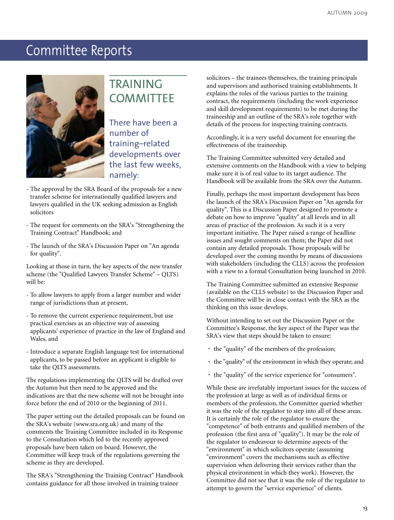

### TRAINING **COMMITTEE**

There have been a number of training–related developments over the last few weeks, namely:

- The approval by the SRA Board of the proposals for a new transfer scheme for internationally qualified lawyers and lawyers qualified in the UK seeking admission as English solicitors
- The request for comments on the SRA's "Strengthening the Training Contract" Handbook; and
- The launch of the SRA's Discussion Paper on "An agenda for quality".

Looking at those in turn, the key aspects of the new transfer scheme (the "Qualified Lawyers Transfer Scheme" – QLTS) will be:

- To allow lawyers to apply from a larger number and wider range of jurisdictions than at present,
- To remove the current experience requirement, but use practical exercises as an objective way of assessing applicants' experience of practice in the law of England and Wales, and
- Introduce a separate English language test for international applicants, to be passed before an applicant is eligible to take the QLTS assessments.

The regulations implementing the QLTS will be drafted over the Autumn but then need to be approved and the indications are that the new scheme will not be brought into force before the end of 2010 or the beginning of 2011.

The paper setting out the detailed proposals can be found on the SRA's website (www.sra.org.uk) and many of the comments the Training Committee included in its Response to the Consultation which led to the recently approved proposals have been taken on board. However, the Committee will keep track of the regulations governing the scheme as they are developed.

The SRA's "Strengthening the Training Contract" Handbook contains guidance for all those involved in training trainee

solicitors – the trainees themselves, the training principals and supervisors and authorised training establishments. It explains the roles of the various parties to the training contract, the requirements (including the work experience and skill development requirements) to be met during the traineeship and an outline of the SRA's role together with details of the process for inspecting training contracts.

Accordingly, it is a very useful document for ensuring the effectiveness of the traineeship.

The Training Committee submitted very detailed and extensive comments on the Handbook with a view to helping make sure it is of real value to its target audience. The Handbook will be available from the SRA over the Autumn.

Finally, perhaps the most important development has been the launch of the SRA's Discussion Paper on "An agenda for quality". This is a Discussion Paper designed to promote a debate on how to improve "quality" at all levels and in all areas of practice of the profession. As such it is a very important initiative. The Paper raised a range of headline issues and sought comments on them; the Paper did not contain any detailed proposals. Those proposals will be developed over the coming months by means of discussions with stakeholders (including the CLLS) across the profession with a view to a formal Consultation being launched in 2010.

The Training Committee submitted an extensive Response (available on the CLLS website) to the Discussion Paper and the Committee will be in close contact with the SRA as the thinking on this issue develops.

Without intending to set out the Discussion Paper or the Committee's Response, the key aspect of the Paper was the SRA's view that steps should be taken to ensure:

- the "quality" of the members of the profession;
- the "quality" of the environment in which they operate; and
- the "quality" of the service experience for "consumers".

While these are irrefutably important issues for the success of the profession at large as well as of individual firms or members of the profession, the Committee queried whether it was the role of the regulator to step into all of these areas. It is certainly the role of the regulator to ensure the "competence" of both entrants and qualified members of the profession (the first area of "quality"). It may be the role of the regulator to endeavour to determine aspects of the "environment" in which solicitors operate (assuming "environment" covers the mechanisms such as effective supervision when delivering their services rather than the physical environment in which they work). However, the Committee did not see that it was the role of the regulator to attempt to govern the "service experience" of clients.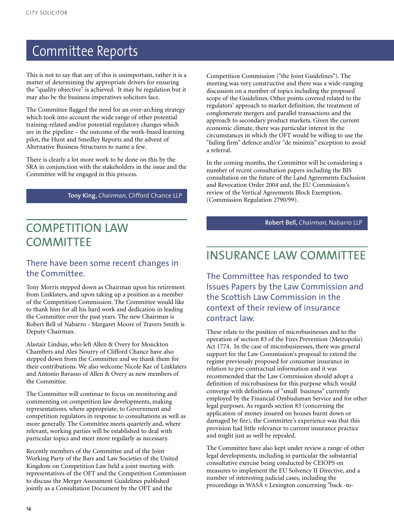This is not to say that any of this is unimportant, rather it is a matter of determining the appropriate drivers for ensuring the "quality objective" is achieved. It may be regulation but it may also be the business imperatives solicitors face.

The Committee flagged the need for an over-arching strategy which took into account the wide range of other potential training-related and/or potential regulatory changes which are in the pipeline – the outcome of the work-based learning pilot, the Hunt and Smedley Reports and the advent of Alternative Business Structures to name a few.

There is clearly a lot more work to be done on this by the SRA in conjunction with the stakeholders in the issue and the Committee will be engaged in this process.

**Tony King,** *Chairman,* Clifford Chance LLP

### COMPETITION LAW **COMMITTEE**

#### There have been some recent changes in the Committee.

Tony Morris stepped down as Chairman upon his retirement from Linklaters, and upon taking up a position as a member of the Competition Commission. The Committee would like to thank him for all his hard work and dedication in leading the Committee over the past years. The new Chairman is Robert Bell of Nabarro - Margaret Moore of Travers Smith is Deputy Chairman.

Alastair Lindsay, who left Allen & Overy for Monckton Chambers and Alex Nourry of Clifford Chance have also stepped down from the Committee and we thank them for their contributions. We also welcome Nicole Kar of Linklaters and Antonio Bavasso of Allen & Overy as new members of the Committee.

The Committee will continue to focus on monitoring and commenting on competition law developments, making representations, where appropriate, to Government and competition regulators in response to consultations as well as more generally. The Committee meets quarterly and, where relevant, working parties will be established to deal with particular topics and meet more regularly as necessary.

Recently members of the Committee and of the Joint Working Party of the Bars and Law Societies of the United Kingdom on Competition Law held a joint meeting with representatives of the OFT and the Competition Commission to discuss the Merger Assessment Guidelines published jointly as a Consultation Document by the OFT and the

Competition Commission ("the Joint Guidelines"). The meeting was very constructive and there was a wide-ranging discussion on a number of topics including the proposed scope of the Guidelines. Other points covered related to the regulators' approach to market definition, the treatment of conglomerate mergers and parallel transactions and the approach to secondary product markets. Given the current economic climate, there was particular interest in the circumstances in which the OFT would be willing to use the "failing firm" defence and/or "de minimis" exception to avoid a referral.

In the coming months, the Committee will be considering a number of recent consultation papers including the BIS consultation on the future of the Land Agreements Exclusion and Revocation Order 2004 and, the EU Commission's review of the Vertical Agreements Block Exemption, (Commission Regulation 2790/99).

**Robert Bell,** *Chairman,* Nabarro LLP

### INSURANCE LAW COMMITTEE

The Committee has responded to two Issues Papers by the Law Commission and the Scottish Law Commission in the context of their review of insurance contract law.

These relate to the position of microbusinesses and to the operation of section 83 of the Fires Prevention (Metropolis) Act 1774. In the case of microbusinesses, there was general support for the Law Commission's proposal to extend the regime previously proposed for consumer insurance in relation to pre-contractual information and it was recommended that the Law Commission should adopt a definition of microbusiness for this purpose which would converge with definitions of "small business" currently employed by the Financial Ombudsman Service and for other legal purposes. As regards section 83 (concerning the application of money insured on houses burnt down or damaged by fire), the Committee's experience was that this provision had little relevance to current insurance practice and might just as well be repealed.

The Committee have also kept under review a range of other legal developments, including in particular the substantial consultative exercise being conducted by CEIOPS on measures to implement the EU Solvency II Directive, and a number of interesting judicial cases, including the proceedings in WASA v Lexington concerning "back -to-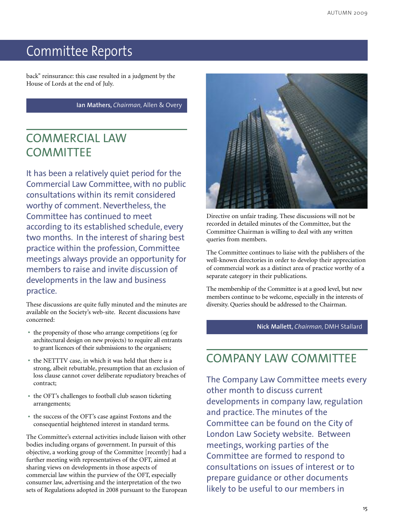back" reinsurance: this case resulted in a judgment by the House of Lords at the end of July.

**Ian Mathers,** *Chairman,* Allen & Overy

### COMMERCIAL LAW **COMMITTEE**

It has been a relatively quiet period for the Commercial Law Committee, with no public consultations within its remit considered worthy of comment. Nevertheless, the Committee has continued to meet according to its established schedule, every two months. In the interest of sharing best practice within the profession, Committee meetings always provide an opportunity for members to raise and invite discussion of developments in the law and business practice.

These discussions are quite fully minuted and the minutes are available on the Society's web-site. Recent discussions have concerned:

- the propensity of those who arrange competitions (eg for architectural design on new projects) to require all entrants to grant licences of their submissions to the organisers;
- the NETTTV case, in which it was held that there is <sup>a</sup> strong, albeit rebuttable, presumption that an exclusion of loss clause cannot cover deliberate repudiatory breaches of contract;
- the OFT's challenges to football club season ticketing arrangements;
- the success of the OFT's case against Foxtons and the consequential heightened interest in standard terms.

The Committee's external activities include liaison with other bodies including organs of government. In pursuit of this objective, a working group of the Committee [recently] had a further meeting with representatives of the OFT, aimed at sharing views on developments in those aspects of commercial law within the purview of the OFT, especially consumer law, advertising and the interpretation of the two sets of Regulations adopted in 2008 pursuant to the European



Directive on unfair trading. These discussions will not be recorded in detailed minutes of the Committee, but the Committee Chairman is willing to deal with any written queries from members.

The Committee continues to liaise with the publishers of the well-known directories in order to develop their appreciation of commercial work as a distinct area of practice worthy of a separate category in their publications.

The membership of the Committee is at a good level, but new members continue to be welcome, especially in the interests of diversity. Queries should be addressed to the Chairman.

**Nick Mallett,** *Chairman,* DMH Stallard

### COMPANY LAW COMMITTEE

The Company Law Committee meets every other month to discuss current developments in company law, regulation and practice. The minutes of the Committee can be found on the City of London Law Society website. Between meetings, working parties of the Committee are formed to respond to consultations on issues of interest or to prepare guidance or other documents likely to be useful to our members in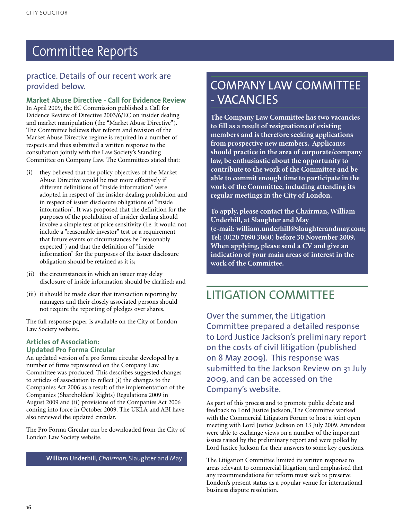#### practice. Details of our recent work are provided below.

**Market Abuse Directive - Call for Evidence Review** In April 2009, the EC Commission published a Call for Evidence Review of Directive 2003/6/EC on insider dealing and market manipulation (the "Market Abuse Directive"). The Committee believes that reform and revision of the Market Abuse Directive regime is required in a number of respects and thus submitted a written response to the consultation jointly with the Law Society's Standing Committee on Company Law. The Committees stated that:

- (i) they believed that the policy objectives of the Market Abuse Directive would be met more effectively if different definitions of "inside information" were adopted in respect of the insider dealing prohibition and in respect of issuer disclosure obligations of "inside information". It was proposed that the definition for the purposes of the prohibition of insider dealing should involve a simple test of price sensitivity (i.e. it would not include a "reasonable investor" test or a requirement that future events or circumstances be "reasonably expected") and that the definition of "inside information" for the purposes of the issuer disclosure obligation should be retained as it is;
- (ii) the circumstances in which an issuer may delay disclosure of inside information should be clarified; and
- (iii) it should be made clear that transaction reporting by managers and their closely associated persons should not require the reporting of pledges over shares.

The full response paper is available on the City of London Law Society website.

#### **Articles of Association: Updated Pro Forma Circular**

An updated version of a pro forma circular developed by a number of firms represented on the Company Law Committee was produced. This describes suggested changes to articles of association to reflect (i) the changes to the Companies Act 2006 as a result of the implementation of the Companies (Shareholders' Rights) Regulations 2009 in August 2009 and (ii) provisions of the Companies Act 2006 coming into force in October 2009. The UKLA and ABI have also reviewed the updated circular.

The Pro Forma Circular can be downloaded from the City of London Law Society website.

**William Underhill,** *Chairman,* Slaughter and May

### COMPANY LAW COMMITTEE - VACANCIES

**The Company Law Committee has two vacancies to fill as a result of resignations of existing members and is therefore seeking applications from prospective new members. Applicants should practice in the area of corporate/company law, be enthusiastic about the opportunity to contribute to the work of the Committee and be able to commit enough time to participate in the work of the Committee, including attending its regular meetings in the City of London.**

**To apply, please contact the Chairman, William Underhill, at Slaughter and May (e-mail: william.underhill@slaughterandmay.com; Tel: (0)20 7090 3060) before 30 November 2009. When applying, please send a CV and give an indication of your main areas of interest in the work of the Committee.**

### LITIGATION COMMITTEE

Over the summer, the Litigation Committee prepared a detailed response to Lord Justice Jackson's preliminary report on the costs of civil litigation (published on 8 May 2009). This response was submitted to the Jackson Review on 31 July 2009, and can be accessed on the Company's website.

As part of this process and to promote public debate and feedback to Lord Justice Jackson, The Committee worked with the Commercial Litigators Forum to host a joint open meeting with Lord Justice Jackson on 13 July 2009. Attendees were able to exchange views on a number of the important issues raised by the preliminary report and were polled by Lord Justice Jackson for their answers to some key questions.

The Litigation Committee limited its written response to areas relevant to commercial litigation, and emphasised that any recommendations for reform must seek to preserve London's present status as a popular venue for international business dispute resolution.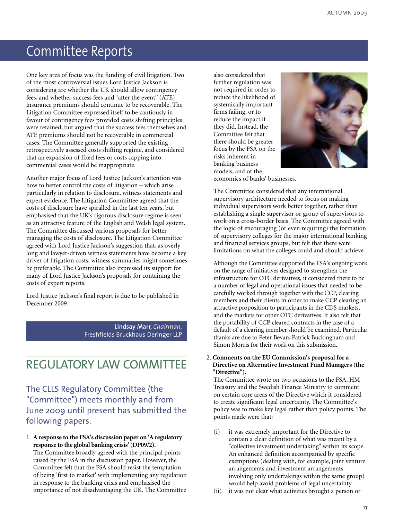One key area of focus was the funding of civil litigation. Two of the most controversial issues Lord Justice Jackson is considering are whether the UK should allow contingency fees, and whether success fees and "after the event" (ATE) insurance premiums should continue to be recoverable. The Litigation Committee expressed itself to be cautiously in favour of contingency fees provided costs shifting principles were retained, but argued that the success fees themselves and ATE premiums should not be recoverable in commercial cases. The Committee generally supported the existing retrospectively assessed costs shifting regime, and considered that an expansion of fixed fees or costs capping into commercial cases would be inappropriate.

Another major focus of Lord Justice Jackson's attention was how to better control the costs of litigation – which arise particularly in relation to disclosure, witness statements and expert evidence. The Litigation Committee agreed that the costs of disclosure have spiralled in the last ten years, but emphasised that the UK's rigorous disclosure regime is seen as an attractive feature of the English and Welsh legal system. The Committee discussed various proposals for better managing the costs of disclosure. The Litigation Committee agreed with Lord Justice Jackson's suggestion that, as overly long and lawyer-driven witness statements have become a key driver of litigation costs, witness summaries might sometimes be preferable. The Committee also expressed its support for many of Lord Justice Jackson's proposals for containing the costs of expert reports.

Lord Justice Jackson's final report is due to be published in December 2009.

> **Lindsay Marr,** *Chairman,* Freshfields Bruckhaus Deringer LLP

### REGULATORY LAW COMMITTEE

The CLLS Regulatory Committee (the "Committee") meets monthly and from June 2009 until present has submitted the following papers.

1. **A response to the FSA's discussion paper on 'A regulatory response to the global banking crisis' (DP09/2).**

The Committee broadly agreed with the principal points raised by the FSA in the discussion paper. However, the Committee felt that the FSA should resist the temptation of being 'first to market' with implementing any regulation in response to the banking crisis and emphasised the importance of not disadvantaging the UK. The Committee

also considered that further regulation was not required in order to reduce the likelihood of systemically important firms failing, or to reduce the impact if they did. Instead, the Committee felt that there should be greater focus by the FSA on the risks inherent in banking business models, and of the



economics of banks' businesses.

The Committee considered that any international supervisory architecture needed to focus on making individual supervisors work better together, rather than establishing a single supervisor or group of supervisors to work on a cross-border basis. The Committee agreed with the logic of encouraging (or even requiring) the formation of supervisory colleges for the major international banking and financial services groups, but felt that there were limitations on what the colleges could and should achieve.

Although the Committee supported the FSA's ongoing work on the range of initiatives designed to strengthen the infrastructure for OTC derivatives, it considered there to be a number of legal and operational issues that needed to be carefully worked through together with the CCP, clearing members and their clients in order to make CCP clearing an attractive proposition to participants in the CDS markets, and the markets for other OTC derivatives. It also felt that the portability of CCP cleared contracts in the case of a default of a clearing member should be examined. Particular thanks are due to Peter Bevan, Patrick Buckingham and Simon Morris for their work on this submission.

2. **Comments on the EU Commission's proposal for a Directive on Alternative Investment Fund Managers (the "Directive").**

The Committee wrote on two occasions to the FSA, HM Treasury and the Swedish Finance Ministry to comment on certain core areas of the Directive which it considered to create significant legal uncertainty. The Committee's policy was to make key legal rather than policy points. The points made were that:

- (i) it was extremely important for the Directive to contain a clear definition of what was meant by a "collective investment undertaking" within its scope. An enhanced definition accompanied by specific exemptions (dealing with, for example, joint venture arrangements and investment arrangements involving only undertakings within the same group) would help avoid problems of legal uncertainty.
- (ii) it was not clear what activities brought a person or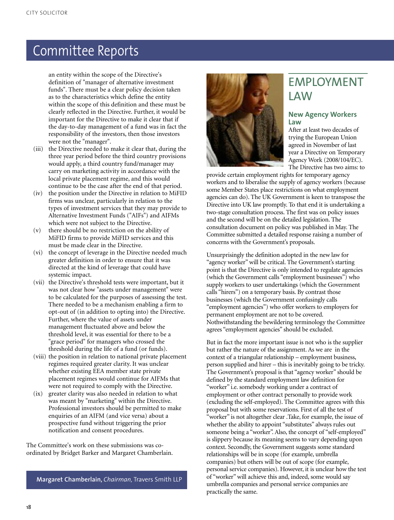an entity within the scope of the Directive's definition of "manager of alternative investment funds". There must be a clear policy decision taken as to the characteristics which define the entity within the scope of this definition and these must be clearly reflected in the Directive. Further, it would be important for the Directive to make it clear that if the day-to-day management of a fund was in fact the responsibility of the investors, then those investors were not the "manager".

- (iii) the Directive needed to make it clear that, during the three year period before the third country provisions would apply, a third country fund/manager may carry on marketing activity in accordance with the local private placement regime, and this would continue to be the case after the end of that period.
- (iv) the position under the Directive in relation to MiFID firms was unclear, particularly in relation to the types of investment services that they may provide to Alternative Investment Funds ("AIFs") and AIFMs which were not subject to the Directive.
- (v) there should be no restriction on the ability of MiFID firms to provide MiFID services and this must be made clear in the Directive.
- (vi) the concept of leverage in the Directive needed much greater definition in order to ensure that it was directed at the kind of leverage that could have systemic impact.
- (vii) the Directive's threshold tests were important, but it was not clear how "assets under management" were to be calculated for the purposes of assessing the test. There needed to be a mechanism enabling a firm to opt-out of (in addition to opting into) the Directive. Further, where the value of assets under management fluctuated above and below the threshold level, it was essential for there to be a "grace period" for managers who crossed the threshold during the life of a fund (or funds).
- (viii) the position in relation to national private placement regimes required greater clarity. It was unclear whether existing EEA member state private placement regimes would continue for AIFMs that were not required to comply with the Directive.
- (ix) greater clarity was also needed in relation to what was meant by "marketing" within the Directive. Professional investors should be permitted to make enquiries of an AIFM (and vice versa) about a prospective fund without triggering the prior notification and consent procedures.

The Committee's work on these submissions was coordinated by Bridget Barker and Margaret Chamberlain.

**Margaret Chamberlain,** *Chairman,* Travers Smith LLP



### EMPLOYMENT LAW

#### **New Agency Workers Law**

After at least two decades of trying the European Union agreed in November of last year a Directive on Temporary Agency Work (2008/104/EC). The Directive has two aims: to

provide certain employment rights for temporary agency workers and to liberalise the supply of agency workers (because some Member States place restrictions on what employment agencies can do). The UK Government is keen to transpose the Directive into UK law promptly. To that end it is undertaking a two-stage consultation process. The first was on policy issues and the second will be on the detailed legislation. The consultation document on policy was published in May. The Committee submitted a detailed response raising a number of concerns with the Government's proposals.

Unsurprisingly the definition adopted in the new law for "agency worker"will be critical. The Government's starting point is that the Directive is only intended to regulate agencies (which the Government calls "employment businesses") who supply workers to user undertakings (which the Government calls "hirers") on a temporary basis. By contrast those businesses (which the Government confusingly calls "employment agencies") who offer workers to employers for permanent employment are not to be covered. Nothwithstanding the bewildering terminology the Committee agrees "employment agencies" should be excluded.

But in fact the more important issue is not who is the supplier but rather the nature of the assignment. As we are in the context of a triangular relationship – employment business, person supplied and hirer – this is inevitably going to be tricky. The Government's proposal is that "agency worker" should be defined by the standard employment law definition for "worker" i.e. somebody working under a contract of employment or other contract personally to provide work (excluding the self-employed). The Committee agrees with this proposal but with some reservations. First of all the test of "worker" is not altogether clear .Take, for example, the issue of whether the ability to appoint "substitutes" always rules out someone being a "worker". Also, the concept of "self-employed" is slippery because its meaning seems to vary depending upon context. Secondly, the Government suggests some standard relationships will be in scope (for example, umbrella companies) but others will be out of scope (for example, personal service companies). However, it is unclear how the test of "worker"will achieve this and, indeed, some would say umbrella companies and personal service companies are practically the same.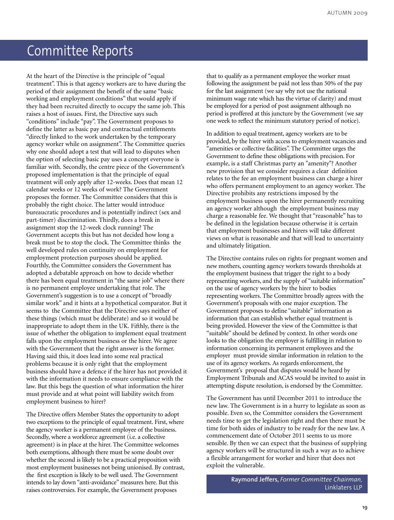At the heart of the Directive is the principle of "equal treatment". This is that agency workers are to have during the period of their assignment the benefit of the same "basic working and employment conditions" that would apply if they had been recruited directly to occupy the same job. This raises a host of issues. First, the Directive says such "conditions" include "pay". The Government proposes to define the latter as basic pay and contractual entitlements "directly linked to the work undertaken by the temporary agency worker while on assignment". The Committee queries why one should adopt a test that will lead to disputes when the option of selecting basic pay uses a concept everyone is familiar with. Secondly, the centre piece of the Government's proposed implementation is that the principle of equal treatment will only apply after 12-weeks. Does that mean 12 calendar weeks or 12 weeks of work? The Government proposes the former. The Committee considers that this is probably the right choice. The latter would introduce bureaucratic procedures and is potentially indirect (sex and part-timer) discrimination. Thirdly, does a break in assignment stop the 12-week clock running? The Government accepts this but has not decided how long a break must be to stop the clock. The Committee thinks the well developed rules on continuity on employment for employment protection purposes should be applied. Fourthly, the Committee considers the Government has adopted a debatable approach on how to decide whether there has been equal treatment in "the same job" where there is no permanent employee undertaking that role. The Government's suggestion is to use a concept of "broadly similar work" and it hints at a hypothetical comparator. But it seems to the Committee that the Directive says neither of these things (which must be deliberate) and so it would be inappropriate to adopt them in the UK. Fifthly, there is the issue of whether the obligation to implement equal treatment falls upon the employment business or the hirer. We agree with the Government that the right answer is the former. Having said this, it does lead into some real practical problems because it is only right that the employment business should have a defence if the hirer has not provided it with the information it needs to ensure compliance with the law. But this begs the question of what information the hirer must provide and at what point will liability switch from employment business to hirer?

The Directive offers Member States the opportunity to adopt two exceptions to the principle of equal treatment. First, where the agency worker is a permanent employee of the business. Secondly, where a workforce agreement (i.e. a collective agreement) is in place at the hirer. The Committee welcomes both exemptions, although there must be some doubt over whether the second is likely to be a practical proposition with most employment businesses not being unionised. By contrast, the first exception is likely to be well used. The Government intends to lay down "anti-avoidance" measures here. But this raises controversies. For example, the Government proposes

that to qualify as a permanent employee the worker must following the assignment be paid not less than 50% of the pay for the last assignment (we say why not use the national minimum wage rate which has the virtue of clarity) and must be employed for a period of post assignment although no period is proffered at this juncture by the Government (we say one week to reflect the minimum statutory period of notice).

In addition to equal treatment, agency workers are to be provided, by the hirer with access to employment vacancies and "amenities or collective facilities". The Committee urges the Government to define these obligations with precision. For example, is a staff Christmas party an "amenity"? Another new provision that we consider requires a clear definition relates to the fee an employment business can charge a hirer who offers permanent employment to an agency worker. The Directive prohibits any restrictions imposed by the employment business upon the hirer permanently recruiting an agency worker although the employment business may charge a reasonable fee. We thought that "reasonable" has to be defined in the legislation because otherwise it is certain that employment businesses and hirers will take different views on what is reasonable and that will lead to uncertainty and ultimately litigation.

The Directive contains rules on rights for pregnant women and new mothers, counting agency workers towards thresholds at the employment business that trigger the right to a body representing workers, and the supply of "suitable information" on the use of agency workers by the hirer to bodies representing workers. The Committee broadly agrees with the Government's proposals with one major exception. The Government proposes to define "suitable" information as information that can establish whether equal treatment is being provided. However the view of the Committee is that "suitable" should be defined by context. In other words one looks to the obligation the employer is fulfilling in relation to information concerning its permanent employees and the employer must provide similar information in relation to the use of its agency workers. As regards enforcement, the Government's proposal that disputes would be heard by Employment Tribunals and ACAS would be invited to assist in attempting dispute resolution, is endorsed by the Committee.

The Government has until December 2011 to introduce the new law. The Government is in a hurry to legislate as soon as possible. Even so, the Committee considers the Government needs time to get the legislation right and then there must be time for both sides of industry to be ready for the new law. A commencement date of October 2011 seems to us more sensible. By then we can expect that the business of supplying agency workers will be structured in such a way as to achieve a flexible arrangement for worker and hirer that does not exploit the vulnerable.

> **Raymond Jeffers,** *Former Committee Chairman,* Linklaters LLP